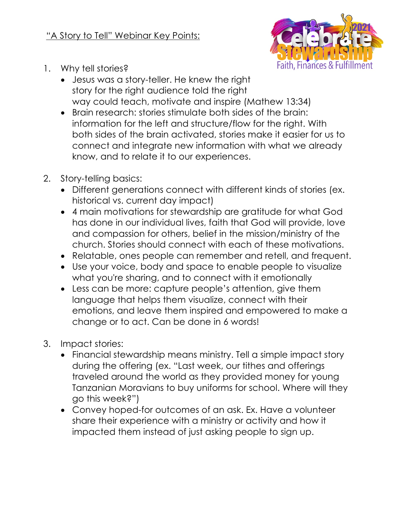

- 1. Why tell stories?
	- Jesus was a story-teller. He knew the right story for the right audience told the right way could teach, motivate and inspire (Mathew 13:34)
	- Brain research: stories stimulate both sides of the brain: information for the left and structure/flow for the right. With both sides of the brain activated, stories make it easier for us to connect and integrate new information with what we already know, and to relate it to our experiences.
- 2. Story-telling basics:
	- Different generations connect with different kinds of stories (ex. historical vs. current day impact)
	- 4 main motivations for stewardship are gratitude for what God has done in our individual lives, faith that God will provide, love and compassion for others, belief in the mission/ministry of the church. Stories should connect with each of these motivations.
	- Relatable, ones people can remember and retell, and frequent.
	- Use your voice, body and space to enable people to visualize what you're sharing, and to connect with it emotionally
	- Less can be more: capture people's attention, give them language that helps them visualize, connect with their emotions, and leave them inspired and empowered to make a change or to act. Can be done in 6 words!
- 3. Impact stories:
	- Financial stewardship means ministry. Tell a simple impact story during the offering (ex. "Last week, our tithes and offerings traveled around the world as they provided money for young Tanzanian Moravians to buy uniforms for school. Where will they go this week?")
	- Convey hoped-for outcomes of an ask. Ex. Have a volunteer share their experience with a ministry or activity and how it impacted them instead of just asking people to sign up.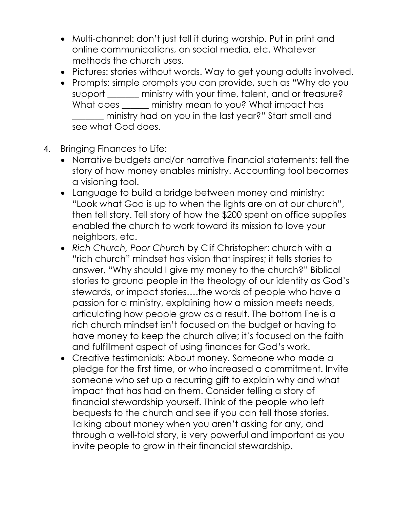- Multi-channel: don't just tell it during worship. Put in print and online communications, on social media, etc. Whatever methods the church uses.
- Pictures: stories without words. Way to get young adults involved.
- Prompts: simple prompts you can provide, such as "Why do you support ministry with your time, talent, and or treasure? What does \_\_\_\_\_\_ ministry mean to you? What impact has \_\_\_\_\_\_\_ ministry had on you in the last year?" Start small and see what God does.
- 4. Bringing Finances to Life:
	- Narrative budgets and/or narrative financial statements: tell the story of how money enables ministry. Accounting tool becomes a visioning tool.
	- Language to build a bridge between money and ministry: "Look what God is up to when the lights are on at our church", then tell story. Tell story of how the \$200 spent on office supplies enabled the church to work toward its mission to love your neighbors, etc.
	- *Rich Church, Poor Church* by Clif Christopher: church with a "rich church" mindset has vision that inspires; it tells stories to answer, "Why should I give my money to the church?" Biblical stories to ground people in the theology of our identity as God's stewards, or impact stories….the words of people who have a passion for a ministry, explaining how a mission meets needs, articulating how people grow as a result. The bottom line is a rich church mindset isn't focused on the budget or having to have money to keep the church alive; it's focused on the faith and fulfillment aspect of using finances for God's work.
	- Creative testimonials: About money. Someone who made a pledge for the first time, or who increased a commitment. Invite someone who set up a recurring gift to explain why and what impact that has had on them. Consider telling a story of financial stewardship yourself. Think of the people who left bequests to the church and see if you can tell those stories. Talking about money when you aren't asking for any, and through a well-told story, is very powerful and important as you invite people to grow in their financial stewardship.